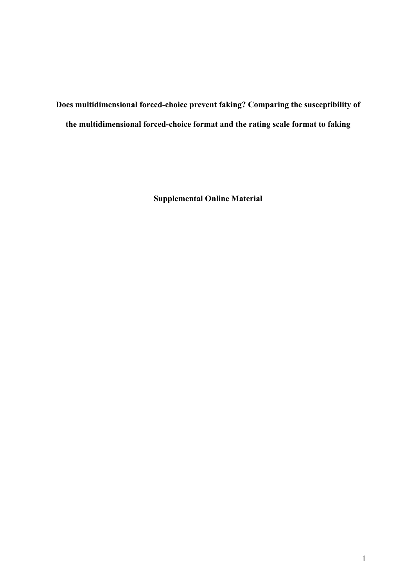**Does multidimensional forced-choice prevent faking? Comparing the susceptibility of the multidimensional forced-choice format and the rating scale format to faking**

**Supplemental Online Material**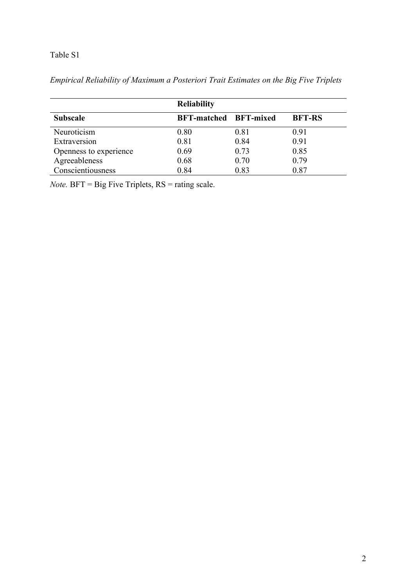|                        | <b>Reliability</b>           |      |               |  |  |  |  |
|------------------------|------------------------------|------|---------------|--|--|--|--|
| <b>Subscale</b>        | <b>BFT-matched BFT-mixed</b> |      | <b>BFT-RS</b> |  |  |  |  |
| Neuroticism            | 0.80                         | 0.81 | 0.91          |  |  |  |  |
| Extraversion           | 0.81                         | 0.84 | 0.91          |  |  |  |  |
| Openness to experience | 0.69                         | 0.73 | 0.85          |  |  |  |  |
| Agreeableness          | 0.68                         | 0.70 | 0.79          |  |  |  |  |
| Conscientiousness      | 0.84                         | 0.83 | 0.87          |  |  |  |  |

*Empirical Reliability of Maximum a Posteriori Trait Estimates on the Big Five Triplets* 

*Note.* BFT = Big Five Triplets, RS = rating scale.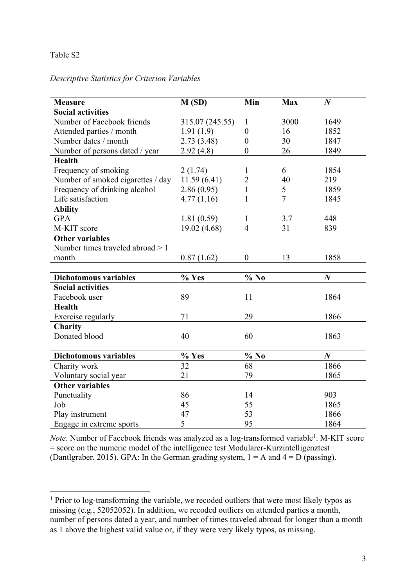#### *Descriptive Statistics for Criterion Variables*

| <b>Measure</b>                    | M(SD)           | Min              | <b>Max</b>     | $\boldsymbol{N}$ |
|-----------------------------------|-----------------|------------------|----------------|------------------|
| <b>Social activities</b>          |                 |                  |                |                  |
| Number of Facebook friends        | 315.07 (245.55) | $\mathbf{1}$     | 3000           | 1649             |
| Attended parties / month          | 1.91(1.9)       | $\theta$         | 16             | 1852             |
| Number dates / month              | 2.73(3.48)      | $\overline{0}$   | 30             | 1847             |
| Number of persons dated / year    | 2.92(4.8)       | $\boldsymbol{0}$ | 26             | 1849             |
| <b>Health</b>                     |                 |                  |                |                  |
| Frequency of smoking              | 2(1.74)         | 1                | 6              | 1854             |
| Number of smoked cigarettes / day | 11.59(6.41)     | $\overline{2}$   | 40             | 219              |
| Frequency of drinking alcohol     | 2.86(0.95)      | $\mathbf{1}$     | 5              | 1859             |
| Life satisfaction                 | 4.77(1.16)      | 1                | $\overline{7}$ | 1845             |
| <b>Ability</b>                    |                 |                  |                |                  |
| <b>GPA</b>                        | 1.81(0.59)      | $\mathbf{1}$     | 3.7            | 448              |
| M-KIT score                       | 19.02 (4.68)    | $\overline{4}$   | 31             | 839              |
| <b>Other variables</b>            |                 |                  |                |                  |
| Number times traveled abroad $>1$ |                 |                  |                |                  |
| month                             | 0.87(1.62)      | $\boldsymbol{0}$ | 13             | 1858             |
|                                   |                 |                  |                |                  |
| <b>Dichotomous variables</b>      | % Yes           | $%$ No           |                | $\boldsymbol{N}$ |
| <b>Social activities</b>          |                 |                  |                |                  |
| Facebook user                     | 89              | 11               |                | 1864             |
| <b>Health</b>                     |                 |                  |                |                  |
| Exercise regularly                | 71              | 29               |                | 1866             |
| Charity                           |                 |                  |                |                  |
| Donated blood                     | 40              | 60               |                | 1863             |
|                                   |                 |                  |                |                  |
| <b>Dichotomous variables</b>      | % Yes           | $\%$ No          |                | $\boldsymbol{N}$ |
| Charity work                      | $\overline{32}$ | 68               |                | 1866             |
| Voluntary social year             | 21              | 79               |                | 1865             |
| <b>Other variables</b>            |                 |                  |                |                  |
| Punctuality                       | 86              | 14               |                | 903              |
| Job                               | 45              | 55               |                | 1865             |
| Play instrument                   | 47              | 53               |                | 1866             |
| Engage in extreme sports          | 5               | 95               |                | 1864             |

*Note*. Number of Facebook friends was analyzed as a log-transformed variable<sup>1</sup>. M-KIT score = score on the numeric model of the intelligence test Modularer-Kurzintelligenztest (Dantlgraber, 2015). GPA: In the German grading system,  $1 = A$  and  $4 = D$  (passing).

<sup>&</sup>lt;sup>1</sup> Prior to log-transforming the variable, we recoded outliers that were most likely typos as missing (e.g., 52052052). In addition, we recoded outliers on attended parties a month, number of persons dated a year, and number of times traveled abroad for longer than a month as 1 above the highest valid value or, if they were very likely typos, as missing.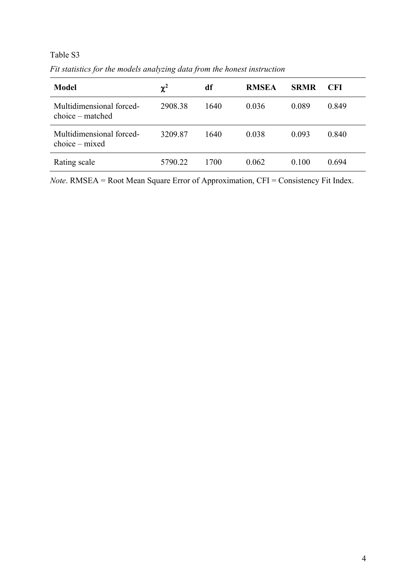*Fit statistics for the models analyzing data from the honest instruction*

| <b>Model</b>                                   | $\chi^2$ | df   | <b>RMSEA</b> | <b>SRMR</b> | CFI.  |
|------------------------------------------------|----------|------|--------------|-------------|-------|
| Multidimensional forced-<br>$choice - matched$ | 2908.38  | 1640 | 0.036        | 0.089       | 0.849 |
| Multidimensional forced-<br>$choice - mixed$   | 3209.87  | 1640 | 0.038        | 0.093       | 0.840 |
| Rating scale                                   | 5790.22  | 1700 | 0.062        | 0.100       | 0.694 |

*Note*. RMSEA = Root Mean Square Error of Approximation, CFI = Consistency Fit Index.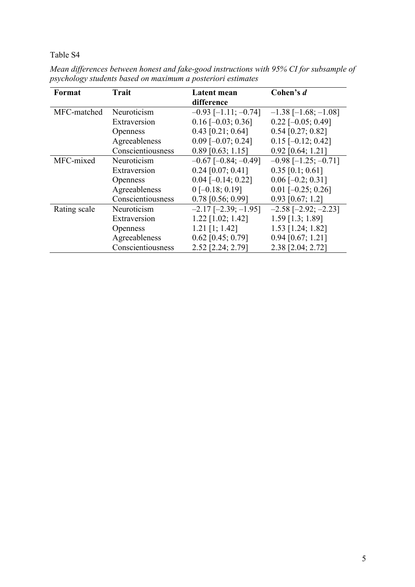| Format       | <b>Trait</b>      | Latent mean                   | Cohen's d                     |
|--------------|-------------------|-------------------------------|-------------------------------|
|              |                   | difference                    |                               |
| MFC-matched  | Neuroticism       | $-0.93$ [-1.11; $-0.74$ ]     | $-1.38$ [ $-1.68$ ; $-1.08$ ] |
|              | Extraversion      | $0.16$ [-0.03; 0.36]          | $0.22$ [-0.05; 0.49]          |
|              | <b>Openness</b>   | $0.43$ [0.21; 0.64]           | $0.54$ [0.27; 0.82]           |
|              | Agreeableness     | $0.09$ [-0.07; 0.24]          | $0.15$ [-0.12; 0.42]          |
|              | Conscientiousness | $0.89$ [0.63; 1.15]           | $0.92$ [0.64; 1.21]           |
| MFC-mixed    | Neuroticism       | $-0.67$ [ $-0.84$ ; $-0.49$ ] | $-0.98$ [ $-1.25$ ; $-0.71$ ] |
|              | Extraversion      | $0.24$ [0.07; 0.41]           | $0.35$ [0.1; 0.61]            |
|              | <b>Openness</b>   | $0.04$ [-0.14; 0.22]          | $0.06$ [-0.2; 0.31]           |
|              | Agreeableness     | $0[-0.18; 0.19]$              | $0.01$ [-0.25; 0.26]          |
|              | Conscientiousness | $0.78$ [0.56; 0.99]           | $0.93$ [0.67; 1.2]            |
| Rating scale | Neuroticism       | $-2.17$ $[-2.39; -1.95]$      | $-2.58$ $[-2.92; -2.23]$      |
|              | Extraversion      | $1.22$ [1.02; 1.42]           | $1.59$ [1.3; 1.89]            |
|              | <b>Openness</b>   | $1.21$ [1; 1.42]              | $1.53$ [1.24; 1.82]           |
|              | Agreeableness     | $0.62$ [0.45; 0.79]           | $0.94$ [0.67; 1.21]           |
|              | Conscientiousness | 2.52 [2.24; 2.79]             | 2.38 [2.04; 2.72]             |

*Mean differences between honest and fake-good instructions with 95% CI for subsample of psychology students based on maximum a posteriori estimates*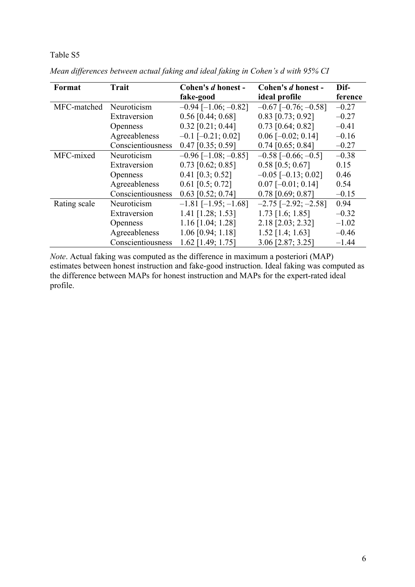| Format       | <b>Trait</b>      | Cohen's d honest -            | Cohen's d honest -            | Dif-    |
|--------------|-------------------|-------------------------------|-------------------------------|---------|
|              |                   | fake-good                     | ideal profile                 | ference |
| MFC-matched  | Neuroticism       | $-0.94$ [ $-1.06$ ; $-0.82$ ] | $-0.67$ [ $-0.76$ ; $-0.58$ ] | $-0.27$ |
|              | Extraversion      | $0.56$ [0.44; 0.68]           | $0.83$ [0.73; 0.92]           | $-0.27$ |
|              | <b>Openness</b>   | $0.32$ [0.21; 0.44]           | $0.73$ [0.64; 0.82]           | $-0.41$ |
|              | Agreeableness     | $-0.1$ [ $-0.21$ ; 0.02]      | $0.06$ [-0.02; 0.14]          | $-0.16$ |
|              | Conscientiousness | $0.47$ [0.35; 0.59]           | $0.74$ [0.65; 0.84]           | $-0.27$ |
| MFC-mixed    | Neuroticism       | $-0.96$ [ $-1.08$ ; $-0.85$ ] | $-0.58$ [ $-0.66$ ; $-0.5$ ]  | $-0.38$ |
|              | Extraversion      | $0.73$ [0.62; 0.85]           | $0.58$ [0.5; 0.67]            | 0.15    |
|              | <b>Openness</b>   | $0.41$ [0.3; 0.52]            | $-0.05$ [ $-0.13$ ; 0.02]     | 0.46    |
|              | Agreeableness     | $0.61$ [0.5; 0.72]            | $0.07$ [-0.01; 0.14]          | 0.54    |
|              | Conscientiousness | $0.63$ [0.52; 0.74]           | $0.78$ [0.69; 0.87]           | $-0.15$ |
| Rating scale | Neuroticism       | $-1.81$ [ $-1.95$ ; $-1.68$ ] | $-2.75$ [ $-2.92$ ; $-2.58$ ] | 0.94    |
|              | Extraversion      | $1.41$ [1.28; 1.53]           | $1.73$ [1.6; 1.85]            | $-0.32$ |
|              | <b>Openness</b>   | $1.16$ [1.04; 1.28]           | 2.18 [2.03; 2.32]             | $-1.02$ |
|              | Agreeableness     | $1.06$ [0.94; $1.18$ ]        | $1.52$ [1.4; 1.63]            | $-0.46$ |
|              | Conscientiousness | $1.62$ [1.49; 1.75]           | 3.06 [2.87; 3.25]             | $-1.44$ |

*Mean differences between actual faking and ideal faking in Cohen's d with 95% CI*

*Note*. Actual faking was computed as the difference in maximum a posteriori (MAP) estimates between honest instruction and fake-good instruction. Ideal faking was computed as the difference between MAPs for honest instruction and MAPs for the expert-rated ideal profile.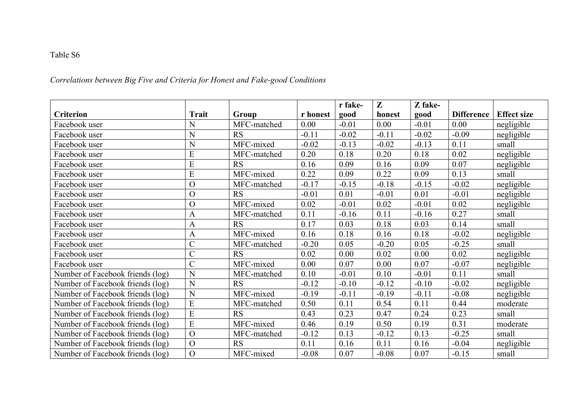# *Correlations between Big Five and Criteria for Honest and Fake-good Conditions*

|                                  |                |             |          | r fake- | Z       | Z fake- |                   |                    |
|----------------------------------|----------------|-------------|----------|---------|---------|---------|-------------------|--------------------|
| <b>Criterion</b>                 | Trait          | Group       | r honest | good    | honest  | good    | <b>Difference</b> | <b>Effect size</b> |
| Facebook user                    | N              | MFC-matched | 0.00     | $-0.01$ | 0.00    | $-0.01$ | 0.00              | negligible         |
| Facebook user                    | N              | <b>RS</b>   | $-0.11$  | $-0.02$ | $-0.11$ | $-0.02$ | $-0.09$           | negligible         |
| Facebook user                    | N              | MFC-mixed   | $-0.02$  | $-0.13$ | $-0.02$ | $-0.13$ | 0.11              | small              |
| Facebook user                    | E              | MFC-matched | 0.20     | 0.18    | 0.20    | 0.18    | 0.02              | negligible         |
| Facebook user                    | E              | <b>RS</b>   | 0.16     | 0.09    | 0.16    | 0.09    | 0.07              | negligible         |
| Facebook user                    | E              | MFC-mixed   | 0.22     | 0.09    | 0.22    | 0.09    | 0.13              | small              |
| Facebook user                    | $\overline{O}$ | MFC-matched | $-0.17$  | $-0.15$ | $-0.18$ | $-0.15$ | $-0.02$           | negligible         |
| Facebook user                    | $\mathbf O$    | <b>RS</b>   | $-0.01$  | 0.01    | $-0.01$ | 0.01    | $-0.01$           | negligible         |
| Facebook user                    | $\overline{O}$ | MFC-mixed   | 0.02     | $-0.01$ | 0.02    | $-0.01$ | 0.02              | negligible         |
| Facebook user                    | $\mathbf{A}$   | MFC-matched | 0.11     | $-0.16$ | 0.11    | $-0.16$ | 0.27              | small              |
| Facebook user                    | $\mathbf{A}$   | <b>RS</b>   | 0.17     | 0.03    | 0.18    | 0.03    | 0.14              | small              |
| Facebook user                    | $\mathbf{A}$   | MFC-mixed   | 0.16     | 0.18    | 0.16    | 0.18    | $-0.02$           | negligible         |
| Facebook user                    | $\overline{C}$ | MFC-matched | $-0.20$  | 0.05    | $-0.20$ | 0.05    | $-0.25$           | small              |
| Facebook user                    | $\overline{C}$ | <b>RS</b>   | 0.02     | 0.00    | 0.02    | 0.00    | 0.02              | negligible         |
| Facebook user                    | $\overline{C}$ | MFC-mixed   | 0.00     | 0.07    | 0.00    | 0.07    | $-0.07$           | negligible         |
| Number of Facebook friends (log) | N              | MFC-matched | 0.10     | $-0.01$ | 0.10    | $-0.01$ | 0.11              | small              |
| Number of Facebook friends (log) | N              | <b>RS</b>   | $-0.12$  | $-0.10$ | $-0.12$ | $-0.10$ | $-0.02$           | negligible         |
| Number of Facebook friends (log) | N              | MFC-mixed   | $-0.19$  | $-0.11$ | $-0.19$ | $-0.11$ | $-0.08$           | negligible         |
| Number of Facebook friends (log) | E              | MFC-matched | 0.50     | 0.11    | 0.54    | 0.11    | 0.44              | moderate           |
| Number of Facebook friends (log) | E              | <b>RS</b>   | 0.43     | 0.23    | 0.47    | 0.24    | 0.23              | small              |
| Number of Facebook friends (log) | E              | MFC-mixed   | 0.46     | 0.19    | 0.50    | 0.19    | 0.31              | moderate           |
| Number of Facebook friends (log) | $\overline{O}$ | MFC-matched | $-0.12$  | 0.13    | $-0.12$ | 0.13    | $-0.25$           | small              |
| Number of Facebook friends (log) | $\Omega$       | <b>RS</b>   | 0.11     | 0.16    | 0.11    | 0.16    | $-0.04$           | negligible         |
| Number of Facebook friends (log) | $\mathcal{O}$  | MFC-mixed   | $-0.08$  | 0.07    | $-0.08$ | 0.07    | $-0.15$           | small              |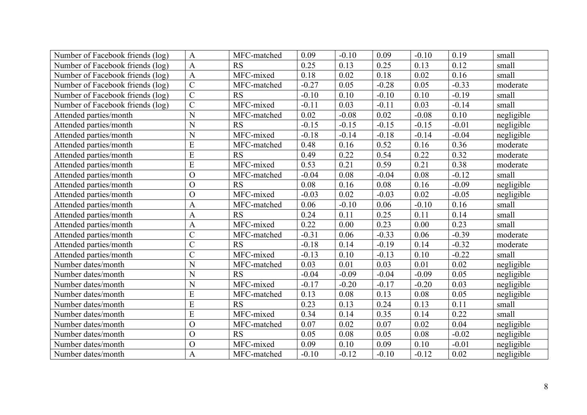| Number of Facebook friends (log) | $\mathbf{A}$   | MFC-matched | 0.09    | $-0.10$ | 0.09    | $-0.10$ | 0.19    | small      |
|----------------------------------|----------------|-------------|---------|---------|---------|---------|---------|------------|
| Number of Facebook friends (log) | $\mathbf{A}$   | <b>RS</b>   | 0.25    | 0.13    | 0.25    | 0.13    | 0.12    | small      |
| Number of Facebook friends (log) | $\mathbf{A}$   | MFC-mixed   | 0.18    | 0.02    | 0.18    | 0.02    | 0.16    | small      |
| Number of Facebook friends (log) | $\overline{C}$ | MFC-matched | $-0.27$ | 0.05    | $-0.28$ | 0.05    | $-0.33$ | moderate   |
| Number of Facebook friends (log) | $\overline{C}$ | <b>RS</b>   | $-0.10$ | 0.10    | $-0.10$ | 0.10    | $-0.19$ | small      |
| Number of Facebook friends (log) | $\overline{C}$ | MFC-mixed   | $-0.11$ | 0.03    | $-0.11$ | 0.03    | $-0.14$ | small      |
| Attended parties/month           | N              | MFC-matched | 0.02    | $-0.08$ | 0.02    | $-0.08$ | 0.10    | negligible |
| Attended parties/month           | $\mathbf N$    | <b>RS</b>   | $-0.15$ | $-0.15$ | $-0.15$ | $-0.15$ | $-0.01$ | negligible |
| Attended parties/month           | N              | MFC-mixed   | $-0.18$ | $-0.14$ | $-0.18$ | $-0.14$ | $-0.04$ | negligible |
| Attended parties/month           | E              | MFC-matched | 0.48    | 0.16    | 0.52    | 0.16    | 0.36    | moderate   |
| Attended parties/month           | $\overline{E}$ | <b>RS</b>   | 0.49    | 0.22    | 0.54    | 0.22    | 0.32    | moderate   |
| Attended parties/month           | E              | MFC-mixed   | 0.53    | 0.21    | 0.59    | 0.21    | 0.38    | moderate   |
| Attended parties/month           | $\overline{O}$ | MFC-matched | $-0.04$ | 0.08    | $-0.04$ | 0.08    | $-0.12$ | small      |
| Attended parties/month           | $\mathcal{O}$  | <b>RS</b>   | 0.08    | 0.16    | 0.08    | 0.16    | $-0.09$ | negligible |
| Attended parties/month           | $\Omega$       | MFC-mixed   | $-0.03$ | 0.02    | $-0.03$ | 0.02    | $-0.05$ | negligible |
| Attended parties/month           | $\mathbf{A}$   | MFC-matched | 0.06    | $-0.10$ | 0.06    | $-0.10$ | 0.16    | small      |
| Attended parties/month           | $\mathbf{A}$   | RS          | 0.24    | 0.11    | 0.25    | 0.11    | 0.14    | small      |
| Attended parties/month           | $\mathbf{A}$   | MFC-mixed   | 0.22    | 0.00    | 0.23    | 0.00    | 0.23    | small      |
| Attended parties/month           | $\overline{C}$ | MFC-matched | $-0.31$ | 0.06    | $-0.33$ | 0.06    | $-0.39$ | moderate   |
| Attended parties/month           | $\overline{C}$ | <b>RS</b>   | $-0.18$ | 0.14    | $-0.19$ | 0.14    | $-0.32$ | moderate   |
| Attended parties/month           | $\overline{C}$ | MFC-mixed   | $-0.13$ | 0.10    | $-0.13$ | 0.10    | $-0.22$ | small      |
| Number dates/month               | N              | MFC-matched | 0.03    | 0.01    | 0.03    | 0.01    | 0.02    | negligible |
| Number dates/month               | N              | RS          | $-0.04$ | $-0.09$ | $-0.04$ | $-0.09$ | 0.05    | negligible |
| Number dates/month               | $\mathbf N$    | MFC-mixed   | $-0.17$ | $-0.20$ | $-0.17$ | $-0.20$ | 0.03    | negligible |
| Number dates/month               | E              | MFC-matched | 0.13    | 0.08    | 0.13    | 0.08    | 0.05    | negligible |
| Number dates/month               | E              | <b>RS</b>   | 0.23    | 0.13    | 0.24    | 0.13    | 0.11    | small      |
| Number dates/month               | E              | MFC-mixed   | 0.34    | 0.14    | 0.35    | 0.14    | 0.22    | small      |
| Number dates/month               | $\overline{O}$ | MFC-matched | 0.07    | 0.02    | 0.07    | 0.02    | 0.04    | negligible |
| Number dates/month               | $\overline{O}$ | RS          | 0.05    | 0.08    | 0.05    | 0.08    | $-0.02$ | negligible |
| Number dates/month               | $\overline{O}$ | MFC-mixed   | 0.09    | 0.10    | 0.09    | 0.10    | $-0.01$ | negligible |
| Number dates/month               | $\mathbf{A}$   | MFC-matched | $-0.10$ | $-0.12$ | $-0.10$ | $-0.12$ | 0.02    | negligible |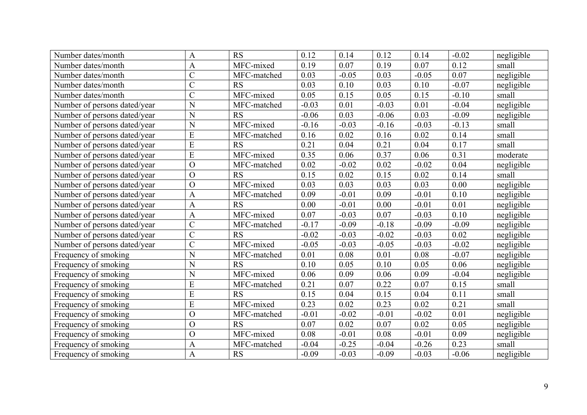| Number dates/month           | $\mathbf{A}$   | <b>RS</b>   | 0.12    | 0.14    | 0.12    | 0.14    | $-0.02$ | negligible |
|------------------------------|----------------|-------------|---------|---------|---------|---------|---------|------------|
| Number dates/month           | $\mathbf{A}$   | MFC-mixed   | 0.19    | 0.07    | 0.19    | 0.07    | 0.12    | small      |
| Number dates/month           | $\mathbf C$    | MFC-matched | 0.03    | $-0.05$ | 0.03    | $-0.05$ | 0.07    | negligible |
| Number dates/month           | $\overline{C}$ | <b>RS</b>   | 0.03    | 0.10    | 0.03    | 0.10    | $-0.07$ | negligible |
| Number dates/month           | $\overline{C}$ | MFC-mixed   | 0.05    | 0.15    | 0.05    | 0.15    | $-0.10$ | small      |
| Number of persons dated/year | N              | MFC-matched | $-0.03$ | 0.01    | $-0.03$ | 0.01    | $-0.04$ | negligible |
| Number of persons dated/year | N              | <b>RS</b>   | $-0.06$ | 0.03    | $-0.06$ | 0.03    | $-0.09$ | negligible |
| Number of persons dated/year | $\overline{N}$ | MFC-mixed   | $-0.16$ | $-0.03$ | $-0.16$ | $-0.03$ | $-0.13$ | small      |
| Number of persons dated/year | ${\bf E}$      | MFC-matched | 0.16    | 0.02    | 0.16    | 0.02    | 0.14    | small      |
| Number of persons dated/year | E              | <b>RS</b>   | 0.21    | 0.04    | 0.21    | 0.04    | 0.17    | small      |
| Number of persons dated/year | ${\bf E}$      | MFC-mixed   | 0.35    | 0.06    | 0.37    | 0.06    | 0.31    | moderate   |
| Number of persons dated/year | $\overline{O}$ | MFC-matched | 0.02    | $-0.02$ | 0.02    | $-0.02$ | 0.04    | negligible |
| Number of persons dated/year | $\mathcal{O}$  | <b>RS</b>   | 0.15    | 0.02    | 0.15    | 0.02    | 0.14    | small      |
| Number of persons dated/year | $\overline{O}$ | MFC-mixed   | 0.03    | 0.03    | 0.03    | 0.03    | 0.00    | negligible |
| Number of persons dated/year | $\mathbf{A}$   | MFC-matched | 0.09    | $-0.01$ | 0.09    | $-0.01$ | 0.10    | negligible |
| Number of persons dated/year | $\mathbf{A}$   | <b>RS</b>   | 0.00    | $-0.01$ | 0.00    | $-0.01$ | 0.01    | negligible |
| Number of persons dated/year | $\overline{A}$ | MFC-mixed   | 0.07    | $-0.03$ | 0.07    | $-0.03$ | 0.10    | negligible |
| Number of persons dated/year | $\mathcal{C}$  | MFC-matched | $-0.17$ | $-0.09$ | $-0.18$ | $-0.09$ | $-0.09$ | negligible |
| Number of persons dated/year | $\overline{C}$ | <b>RS</b>   | $-0.02$ | $-0.03$ | $-0.02$ | $-0.03$ | 0.02    | negligible |
| Number of persons dated/year | $\overline{C}$ | MFC-mixed   | $-0.05$ | $-0.03$ | $-0.05$ | $-0.03$ | $-0.02$ | negligible |
| Frequency of smoking         | N              | MFC-matched | 0.01    | 0.08    | 0.01    | 0.08    | $-0.07$ | negligible |
| Frequency of smoking         | N              | <b>RS</b>   | 0.10    | 0.05    | 0.10    | 0.05    | 0.06    | negligible |
| Frequency of smoking         | $\overline{N}$ | MFC-mixed   | 0.06    | 0.09    | 0.06    | 0.09    | $-0.04$ | negligible |
| Frequency of smoking         | E              | MFC-matched | 0.21    | 0.07    | 0.22    | 0.07    | 0.15    | small      |
| Frequency of smoking         | E              | <b>RS</b>   | 0.15    | 0.04    | 0.15    | 0.04    | 0.11    | small      |
| Frequency of smoking         | E              | MFC-mixed   | 0.23    | 0.02    | 0.23    | 0.02    | 0.21    | small      |
| Frequency of smoking         | $\overline{O}$ | MFC-matched | $-0.01$ | $-0.02$ | $-0.01$ | $-0.02$ | 0.01    | negligible |
| Frequency of smoking         | $\mathcal{O}$  | <b>RS</b>   | 0.07    | 0.02    | 0.07    | 0.02    | 0.05    | negligible |
| Frequency of smoking         | $\Omega$       | MFC-mixed   | 0.08    | $-0.01$ | 0.08    | $-0.01$ | 0.09    | negligible |
| Frequency of smoking         | $\mathbf{A}$   | MFC-matched | $-0.04$ | $-0.25$ | $-0.04$ | $-0.26$ | 0.23    | small      |
| Frequency of smoking         | $\mathbf{A}$   | <b>RS</b>   | $-0.09$ | $-0.03$ | $-0.09$ | $-0.03$ | $-0.06$ | negligible |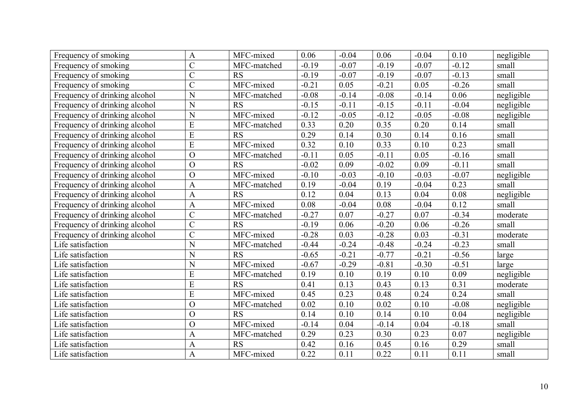| Frequency of smoking          | $\mathbf{A}$   | MFC-mixed   | 0.06    | $-0.04$ | 0.06    | $-0.04$ | 0.10     | negligible |
|-------------------------------|----------------|-------------|---------|---------|---------|---------|----------|------------|
| Frequency of smoking          | $\overline{C}$ | MFC-matched | $-0.19$ | $-0.07$ | $-0.19$ | $-0.07$ | $-0.12$  | small      |
| Frequency of smoking          | $\overline{C}$ | <b>RS</b>   | $-0.19$ | $-0.07$ | $-0.19$ | $-0.07$ | $-0.13$  | small      |
| Frequency of smoking          | $\overline{C}$ | MFC-mixed   | $-0.21$ | 0.05    | $-0.21$ | 0.05    | $-0.26$  | small      |
| Frequency of drinking alcohol | N              | MFC-matched | $-0.08$ | $-0.14$ | $-0.08$ | $-0.14$ | 0.06     | negligible |
| Frequency of drinking alcohol | N              | <b>RS</b>   | $-0.15$ | $-0.11$ | $-0.15$ | $-0.11$ | $-0.04$  | negligible |
| Frequency of drinking alcohol | N              | MFC-mixed   | $-0.12$ | $-0.05$ | $-0.12$ | $-0.05$ | $-0.08$  | negligible |
| Frequency of drinking alcohol | E              | MFC-matched | 0.33    | 0.20    | 0.35    | 0.20    | 0.14     | small      |
| Frequency of drinking alcohol | E              | <b>RS</b>   | 0.29    | 0.14    | 0.30    | 0.14    | 0.16     | small      |
| Frequency of drinking alcohol | $\overline{E}$ | MFC-mixed   | 0.32    | 0.10    | 0.33    | 0.10    | 0.23     | small      |
| Frequency of drinking alcohol | $\overline{O}$ | MFC-matched | $-0.11$ | 0.05    | $-0.11$ | 0.05    | $-0.16$  | small      |
| Frequency of drinking alcohol | $\overline{O}$ | <b>RS</b>   | $-0.02$ | 0.09    | $-0.02$ | 0.09    | $-0.11$  | small      |
| Frequency of drinking alcohol | $\overline{O}$ | MFC-mixed   | $-0.10$ | $-0.03$ | $-0.10$ | $-0.03$ | $-0.07$  | negligible |
| Frequency of drinking alcohol | $\mathbf{A}$   | MFC-matched | 0.19    | $-0.04$ | 0.19    | $-0.04$ | 0.23     | small      |
| Frequency of drinking alcohol | $\overline{A}$ | <b>RS</b>   | 0.12    | 0.04    | 0.13    | 0.04    | $0.08\,$ | negligible |
| Frequency of drinking alcohol | $\mathbf{A}$   | MFC-mixed   | 0.08    | $-0.04$ | 0.08    | $-0.04$ | 0.12     | small      |
| Frequency of drinking alcohol | $\overline{C}$ | MFC-matched | $-0.27$ | 0.07    | $-0.27$ | 0.07    | $-0.34$  | moderate   |
| Frequency of drinking alcohol | $\overline{C}$ | <b>RS</b>   | $-0.19$ | 0.06    | $-0.20$ | 0.06    | $-0.26$  | small      |
| Frequency of drinking alcohol | $\overline{C}$ | MFC-mixed   | $-0.28$ | 0.03    | $-0.28$ | 0.03    | $-0.31$  | moderate   |
| Life satisfaction             | N              | MFC-matched | $-0.44$ | $-0.24$ | $-0.48$ | $-0.24$ | $-0.23$  | small      |
| Life satisfaction             | N              | <b>RS</b>   | $-0.65$ | $-0.21$ | $-0.77$ | $-0.21$ | $-0.56$  | large      |
| Life satisfaction             | N              | MFC-mixed   | $-0.67$ | $-0.29$ | $-0.81$ | $-0.30$ | $-0.51$  | large      |
| Life satisfaction             | E              | MFC-matched | 0.19    | 0.10    | 0.19    | 0.10    | 0.09     | negligible |
| Life satisfaction             | E              | <b>RS</b>   | 0.41    | 0.13    | 0.43    | 0.13    | 0.31     | moderate   |
| Life satisfaction             | E              | MFC-mixed   | 0.45    | 0.23    | 0.48    | 0.24    | 0.24     | small      |
| Life satisfaction             | $\overline{O}$ | MFC-matched | 0.02    | 0.10    | 0.02    | 0.10    | $-0.08$  | negligible |
| Life satisfaction             | $\overline{O}$ | <b>RS</b>   | 0.14    | 0.10    | 0.14    | 0.10    | 0.04     | negligible |
| Life satisfaction             | $\overline{O}$ | MFC-mixed   | $-0.14$ | 0.04    | $-0.14$ | 0.04    | $-0.18$  | small      |
| Life satisfaction             | A              | MFC-matched | 0.29    | 0.23    | 0.30    | 0.23    | 0.07     | negligible |
| Life satisfaction             | $\mathbf{A}$   | <b>RS</b>   | 0.42    | 0.16    | 0.45    | 0.16    | 0.29     | small      |
| Life satisfaction             | $\mathbf{A}$   | MFC-mixed   | 0.22    | 0.11    | 0.22    | 0.11    | 0.11     | small      |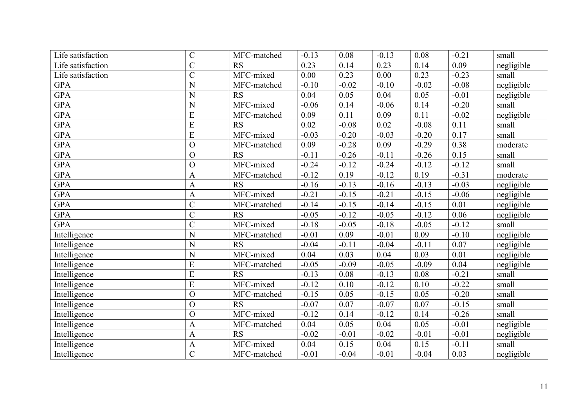| Life satisfaction | $\overline{C}$ | MFC-matched | $-0.13$ | 0.08    | $-0.13$ | 0.08    | $-0.21$ | small      |
|-------------------|----------------|-------------|---------|---------|---------|---------|---------|------------|
| Life satisfaction | $\overline{C}$ | <b>RS</b>   | 0.23    | 0.14    | 0.23    | 0.14    | 0.09    | negligible |
| Life satisfaction | $\overline{C}$ | MFC-mixed   | 0.00    | 0.23    | 0.00    | 0.23    | $-0.23$ | small      |
| <b>GPA</b>        | N              | MFC-matched | $-0.10$ | $-0.02$ | $-0.10$ | $-0.02$ | $-0.08$ | negligible |
| <b>GPA</b>        | N              | <b>RS</b>   | 0.04    | 0.05    | 0.04    | 0.05    | $-0.01$ | negligible |
| <b>GPA</b>        | N              | MFC-mixed   | $-0.06$ | 0.14    | $-0.06$ | 0.14    | $-0.20$ | small      |
| <b>GPA</b>        | E              | MFC-matched | 0.09    | 0.11    | 0.09    | 0.11    | $-0.02$ | negligible |
| <b>GPA</b>        | E              | <b>RS</b>   | 0.02    | $-0.08$ | 0.02    | $-0.08$ | 0.11    | small      |
| <b>GPA</b>        | E              | MFC-mixed   | $-0.03$ | $-0.20$ | $-0.03$ | $-0.20$ | 0.17    | small      |
| <b>GPA</b>        | $\overline{O}$ | MFC-matched | 0.09    | $-0.28$ | 0.09    | $-0.29$ | 0.38    | moderate   |
| <b>GPA</b>        | $\overline{O}$ | <b>RS</b>   | $-0.11$ | $-0.26$ | $-0.11$ | $-0.26$ | 0.15    | small      |
| <b>GPA</b>        | $\overline{O}$ | MFC-mixed   | $-0.24$ | $-0.12$ | $-0.24$ | $-0.12$ | $-0.12$ | small      |
| <b>GPA</b>        | $\mathbf{A}$   | MFC-matched | $-0.12$ | 0.19    | $-0.12$ | 0.19    | $-0.31$ | moderate   |
| <b>GPA</b>        | A              | <b>RS</b>   | $-0.16$ | $-0.13$ | $-0.16$ | $-0.13$ | $-0.03$ | negligible |
| <b>GPA</b>        | $\overline{A}$ | MFC-mixed   | $-0.21$ | $-0.15$ | $-0.21$ | $-0.15$ | $-0.06$ | negligible |
| <b>GPA</b>        | $\overline{C}$ | MFC-matched | $-0.14$ | $-0.15$ | $-0.14$ | $-0.15$ | 0.01    | negligible |
| <b>GPA</b>        | $\overline{C}$ | <b>RS</b>   | $-0.05$ | $-0.12$ | $-0.05$ | $-0.12$ | 0.06    | negligible |
| <b>GPA</b>        | $\overline{C}$ | MFC-mixed   | $-0.18$ | $-0.05$ | $-0.18$ | $-0.05$ | $-0.12$ | small      |
| Intelligence      | N              | MFC-matched | $-0.01$ | 0.09    | $-0.01$ | 0.09    | $-0.10$ | negligible |
| Intelligence      | N              | RS          | $-0.04$ | $-0.11$ | $-0.04$ | $-0.11$ | 0.07    | negligible |
| Intelligence      | N              | MFC-mixed   | 0.04    | 0.03    | 0.04    | 0.03    | 0.01    | negligible |
| Intelligence      | E              | MFC-matched | $-0.05$ | $-0.09$ | $-0.05$ | $-0.09$ | 0.04    | negligible |
| Intelligence      | E              | RS          | $-0.13$ | 0.08    | $-0.13$ | 0.08    | $-0.21$ | small      |
| Intelligence      | E              | MFC-mixed   | $-0.12$ | 0.10    | $-0.12$ | 0.10    | $-0.22$ | small      |
| Intelligence      | $\overline{O}$ | MFC-matched | $-0.15$ | 0.05    | $-0.15$ | 0.05    | $-0.20$ | small      |
| Intelligence      | $\overline{O}$ | <b>RS</b>   | $-0.07$ | 0.07    | $-0.07$ | 0.07    | $-0.15$ | small      |
| Intelligence      | $\overline{O}$ | MFC-mixed   | $-0.12$ | 0.14    | $-0.12$ | 0.14    | $-0.26$ | small      |
| Intelligence      | $\mathbf{A}$   | MFC-matched | 0.04    | 0.05    | 0.04    | 0.05    | $-0.01$ | negligible |
| Intelligence      | $\mathbf{A}$   | RS          | $-0.02$ | $-0.01$ | $-0.02$ | $-0.01$ | $-0.01$ | negligible |
| Intelligence      | A              | MFC-mixed   | 0.04    | 0.15    | 0.04    | 0.15    | $-0.11$ | small      |
| Intelligence      | $\overline{C}$ | MFC-matched | $-0.01$ | $-0.04$ | $-0.01$ | $-0.04$ | 0.03    | negligible |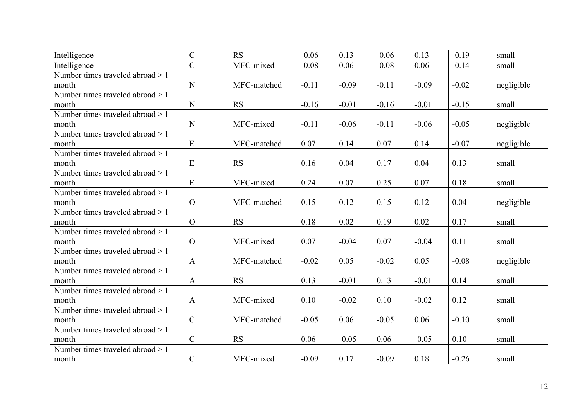| Intelligence                      | $\overline{C}$ | <b>RS</b>   | $-0.06$ | 0.13    | $-0.06$ | 0.13    | $-0.19$ | small      |
|-----------------------------------|----------------|-------------|---------|---------|---------|---------|---------|------------|
| Intelligence                      | $\overline{C}$ | MFC-mixed   | $-0.08$ | 0.06    | $-0.08$ | 0.06    | $-0.14$ | small      |
| Number times traveled abroad > 1  |                |             |         |         |         |         |         |            |
| month                             | N              | MFC-matched | $-0.11$ | $-0.09$ | $-0.11$ | $-0.09$ | $-0.02$ | negligible |
| Number times traveled abroad $>1$ |                |             |         |         |         |         |         |            |
| month                             | $\mathbf N$    | <b>RS</b>   | $-0.16$ | $-0.01$ | $-0.16$ | $-0.01$ | $-0.15$ | small      |
| Number times traveled abroad > 1  |                |             |         |         |         |         |         |            |
| month                             | N              | MFC-mixed   | $-0.11$ | $-0.06$ | $-0.11$ | $-0.06$ | $-0.05$ | negligible |
| Number times traveled abroad > 1  |                |             |         |         |         |         |         |            |
| month                             | ${\bf E}$      | MFC-matched | 0.07    | 0.14    | 0.07    | 0.14    | $-0.07$ | negligible |
| Number times traveled abroad > 1  |                |             |         |         |         |         |         |            |
| month                             | E              | <b>RS</b>   | 0.16    | 0.04    | 0.17    | 0.04    | 0.13    | small      |
| Number times traveled abroad > 1  |                |             |         |         |         |         |         |            |
| month                             | E              | MFC-mixed   | 0.24    | 0.07    | 0.25    | 0.07    | 0.18    | small      |
| Number times traveled abroad > 1  |                |             |         |         |         |         |         |            |
| month                             | $\overline{O}$ | MFC-matched | 0.15    | 0.12    | 0.15    | 0.12    | 0.04    | negligible |
| Number times traveled abroad > 1  |                |             |         |         |         |         |         |            |
| month                             | $\overline{O}$ | <b>RS</b>   | 0.18    | 0.02    | 0.19    | 0.02    | 0.17    | small      |
| Number times traveled abroad > 1  |                |             |         |         |         |         |         |            |
| month                             | $\overline{O}$ | MFC-mixed   | 0.07    | $-0.04$ | 0.07    | $-0.04$ | 0.11    | small      |
| Number times traveled abroad > 1  |                |             |         |         |         |         |         |            |
| month                             | $\mathbf{A}$   | MFC-matched | $-0.02$ | 0.05    | $-0.02$ | 0.05    | $-0.08$ | negligible |
| Number times traveled abroad > 1  |                |             |         |         |         |         |         |            |
| month                             | $\mathbf{A}$   | <b>RS</b>   | 0.13    | $-0.01$ | 0.13    | $-0.01$ | 0.14    | small      |
| Number times traveled abroad > 1  |                |             |         |         |         |         |         |            |
| month                             | $\mathbf{A}$   | MFC-mixed   | 0.10    | $-0.02$ | 0.10    | $-0.02$ | 0.12    | small      |
| Number times traveled abroad > 1  |                |             |         |         |         |         |         |            |
| month                             | $\mathsf{C}$   | MFC-matched | $-0.05$ | 0.06    | $-0.05$ | 0.06    | $-0.10$ | small      |
| Number times traveled abroad > 1  |                |             |         |         |         |         |         |            |
| month                             | $\mathbf C$    | <b>RS</b>   | 0.06    | $-0.05$ | 0.06    | $-0.05$ | 0.10    | small      |
| Number times traveled abroad > 1  |                |             |         |         |         |         |         |            |
| month                             | $\mathsf{C}$   | MFC-mixed   | $-0.09$ | 0.17    | $-0.09$ | 0.18    | $-0.26$ | small      |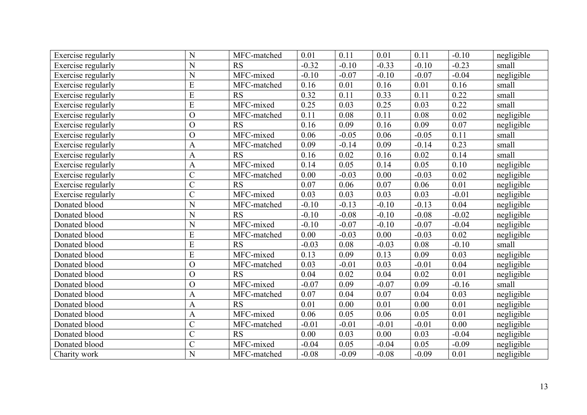| Exercise regularly        | N              | MFC-matched | 0.01    | 0.11    | 0.01    | 0.11    | $-0.10$ | negligible |
|---------------------------|----------------|-------------|---------|---------|---------|---------|---------|------------|
| Exercise regularly        | $\mathbf N$    | <b>RS</b>   | $-0.32$ | $-0.10$ | $-0.33$ | $-0.10$ | $-0.23$ | small      |
| Exercise regularly        | $\mathbf N$    | MFC-mixed   | $-0.10$ | $-0.07$ | $-0.10$ | $-0.07$ | $-0.04$ | negligible |
| Exercise regularly        | E              | MFC-matched | 0.16    | 0.01    | 0.16    | 0.01    | 0.16    | small      |
| Exercise regularly        | $\overline{E}$ | <b>RS</b>   | 0.32    | 0.11    | 0.33    | 0.11    | 0.22    | small      |
| Exercise regularly        | E              | MFC-mixed   | 0.25    | 0.03    | 0.25    | 0.03    | 0.22    | small      |
| Exercise regularly        | $\overline{O}$ | MFC-matched | 0.11    | 0.08    | 0.11    | 0.08    | 0.02    | negligible |
| Exercise regularly        | $\overline{O}$ | <b>RS</b>   | 0.16    | 0.09    | 0.16    | 0.09    | 0.07    | negligible |
| Exercise regularly        | $\overline{O}$ | MFC-mixed   | 0.06    | $-0.05$ | 0.06    | $-0.05$ | 0.11    | small      |
| <b>Exercise regularly</b> | $\mathbf{A}$   | MFC-matched | 0.09    | $-0.14$ | 0.09    | $-0.14$ | 0.23    | small      |
| Exercise regularly        | $\mathbf{A}$   | <b>RS</b>   | 0.16    | 0.02    | 0.16    | 0.02    | 0.14    | small      |
| Exercise regularly        | $\overline{A}$ | MFC-mixed   | 0.14    | 0.05    | 0.14    | 0.05    | 0.10    | negligible |
| Exercise regularly        | $\overline{C}$ | MFC-matched | 0.00    | $-0.03$ | 0.00    | $-0.03$ | 0.02    | negligible |
| Exercise regularly        | $\overline{C}$ | <b>RS</b>   | 0.07    | 0.06    | 0.07    | 0.06    | 0.01    | negligible |
| <b>Exercise regularly</b> | $\overline{C}$ | MFC-mixed   | 0.03    | 0.03    | 0.03    | 0.03    | $-0.01$ | negligible |
| Donated blood             | N              | MFC-matched | $-0.10$ | $-0.13$ | $-0.10$ | $-0.13$ | 0.04    | negligible |
| Donated blood             | N              | RS          | $-0.10$ | $-0.08$ | $-0.10$ | $-0.08$ | $-0.02$ | negligible |
| Donated blood             | $\overline{N}$ | MFC-mixed   | $-0.10$ | $-0.07$ | $-0.10$ | $-0.07$ | $-0.04$ | negligible |
| Donated blood             | E              | MFC-matched | 0.00    | $-0.03$ | 0.00    | $-0.03$ | 0.02    | negligible |
| Donated blood             | E              | <b>RS</b>   | $-0.03$ | 0.08    | $-0.03$ | 0.08    | $-0.10$ | small      |
| Donated blood             | E              | MFC-mixed   | 0.13    | 0.09    | 0.13    | 0.09    | 0.03    | negligible |
| Donated blood             | $\overline{O}$ | MFC-matched | 0.03    | $-0.01$ | 0.03    | $-0.01$ | 0.04    | negligible |
| Donated blood             | $\overline{O}$ | RS          | 0.04    | 0.02    | 0.04    | 0.02    | 0.01    | negligible |
| Donated blood             | $\overline{O}$ | MFC-mixed   | $-0.07$ | 0.09    | $-0.07$ | 0.09    | $-0.16$ | small      |
| Donated blood             | $\mathbf{A}$   | MFC-matched | 0.07    | 0.04    | 0.07    | 0.04    | 0.03    | negligible |
| Donated blood             | $\mathbf{A}$   | <b>RS</b>   | 0.01    | 0.00    | 0.01    | 0.00    | 0.01    | negligible |
| Donated blood             | $\mathbf{A}$   | MFC-mixed   | 0.06    | 0.05    | 0.06    | 0.05    | 0.01    | negligible |
| Donated blood             | $\overline{C}$ | MFC-matched | $-0.01$ | $-0.01$ | $-0.01$ | $-0.01$ | 0.00    | negligible |
| Donated blood             | $\overline{C}$ | <b>RS</b>   | 0.00    | 0.03    | 0.00    | 0.03    | $-0.04$ | negligible |
| Donated blood             | $\overline{C}$ | MFC-mixed   | $-0.04$ | 0.05    | $-0.04$ | 0.05    | $-0.09$ | negligible |
| Charity work              | $\mathbf N$    | MFC-matched | $-0.08$ | $-0.09$ | $-0.08$ | $-0.09$ | 0.01    | negligible |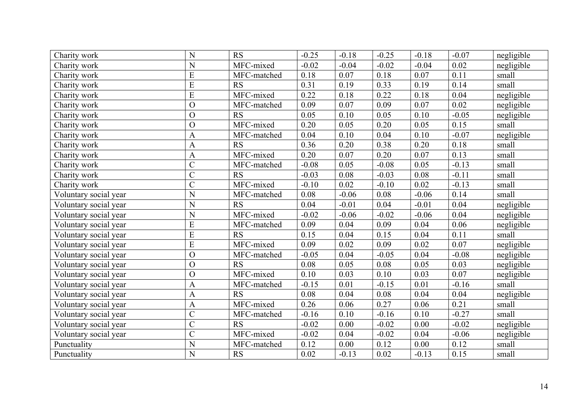| Charity work          | N              | <b>RS</b>   | $-0.25$ | $-0.18$ | $-0.25$ | $-0.18$ | $-0.07$ | negligible |
|-----------------------|----------------|-------------|---------|---------|---------|---------|---------|------------|
| Charity work          | N              | MFC-mixed   | $-0.02$ | $-0.04$ | $-0.02$ | $-0.04$ | 0.02    | negligible |
| Charity work          | ${\bf E}$      | MFC-matched | 0.18    | 0.07    | 0.18    | 0.07    | 0.11    | small      |
| Charity work          | E              | <b>RS</b>   | 0.31    | 0.19    | 0.33    | 0.19    | 0.14    | small      |
| Charity work          | ${\bf E}$      | MFC-mixed   | 0.22    | 0.18    | 0.22    | 0.18    | 0.04    | negligible |
| Charity work          | $\Omega$       | MFC-matched | 0.09    | 0.07    | 0.09    | 0.07    | 0.02    | negligible |
| Charity work          | $\overline{O}$ | <b>RS</b>   | 0.05    | 0.10    | 0.05    | 0.10    | $-0.05$ | negligible |
| Charity work          | $\overline{O}$ | MFC-mixed   | 0.20    | 0.05    | 0.20    | 0.05    | 0.15    | small      |
| Charity work          | $\mathbf{A}$   | MFC-matched | 0.04    | 0.10    | 0.04    | 0.10    | $-0.07$ | negligible |
| Charity work          | $\mathbf{A}$   | <b>RS</b>   | 0.36    | 0.20    | 0.38    | 0.20    | 0.18    | small      |
| Charity work          | $\mathbf{A}$   | MFC-mixed   | 0.20    | 0.07    | 0.20    | 0.07    | 0.13    | small      |
| Charity work          | $\overline{C}$ | MFC-matched | $-0.08$ | 0.05    | $-0.08$ | 0.05    | $-0.13$ | small      |
| Charity work          | $\overline{C}$ | <b>RS</b>   | $-0.03$ | 0.08    | $-0.03$ | 0.08    | $-0.11$ | small      |
| Charity work          | $\mathcal{C}$  | MFC-mixed   | $-0.10$ | 0.02    | $-0.10$ | 0.02    | $-0.13$ | small      |
| Voluntary social year | N              | MFC-matched | 0.08    | $-0.06$ | 0.08    | $-0.06$ | 0.14    | small      |
| Voluntary social year | N              | <b>RS</b>   | 0.04    | $-0.01$ | 0.04    | $-0.01$ | 0.04    | negligible |
| Voluntary social year | N              | MFC-mixed   | $-0.02$ | $-0.06$ | $-0.02$ | $-0.06$ | 0.04    | negligible |
| Voluntary social year | E              | MFC-matched | 0.09    | 0.04    | 0.09    | 0.04    | 0.06    | negligible |
| Voluntary social year | E              | <b>RS</b>   | 0.15    | 0.04    | 0.15    | 0.04    | 0.11    | small      |
| Voluntary social year | E              | MFC-mixed   | 0.09    | 0.02    | 0.09    | 0.02    | 0.07    | negligible |
| Voluntary social year | $\overline{O}$ | MFC-matched | $-0.05$ | 0.04    | $-0.05$ | 0.04    | $-0.08$ | negligible |
| Voluntary social year | $\overline{O}$ | RS          | 0.08    | 0.05    | 0.08    | 0.05    | 0.03    | negligible |
| Voluntary social year | $\Omega$       | MFC-mixed   | 0.10    | 0.03    | 0.10    | 0.03    | 0.07    | negligible |
| Voluntary social year | $\mathbf{A}$   | MFC-matched | $-0.15$ | 0.01    | $-0.15$ | 0.01    | $-0.16$ | small      |
| Voluntary social year | $\mathbf{A}$   | <b>RS</b>   | 0.08    | 0.04    | 0.08    | 0.04    | 0.04    | negligible |
| Voluntary social year | $\mathbf{A}$   | MFC-mixed   | 0.26    | 0.06    | 0.27    | 0.06    | 0.21    | small      |
| Voluntary social year | $\overline{C}$ | MFC-matched | $-0.16$ | 0.10    | $-0.16$ | 0.10    | $-0.27$ | small      |
| Voluntary social year | $\overline{C}$ | <b>RS</b>   | $-0.02$ | 0.00    | $-0.02$ | 0.00    | $-0.02$ | negligible |
| Voluntary social year | $\overline{C}$ | MFC-mixed   | $-0.02$ | 0.04    | $-0.02$ | 0.04    | $-0.06$ | negligible |
| Punctuality           | $\overline{N}$ | MFC-matched | 0.12    | 0.00    | 0.12    | 0.00    | 0.12    | small      |
| Punctuality           | N              | <b>RS</b>   | 0.02    | $-0.13$ | 0.02    | $-0.13$ | 0.15    | small      |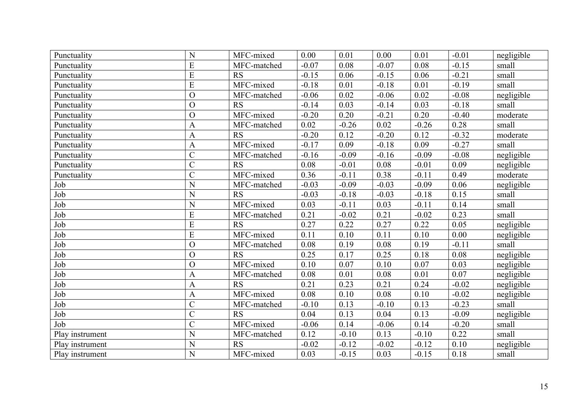| Punctuality     | N              | MFC-mixed   | 0.00     | 0.01     | 0.00    | 0.01    | $-0.01$ | negligible |
|-----------------|----------------|-------------|----------|----------|---------|---------|---------|------------|
| Punctuality     | E              | MFC-matched | $-0.07$  | 0.08     | $-0.07$ | 0.08    | $-0.15$ | small      |
| Punctuality     | ${\bf E}$      | <b>RS</b>   | $-0.15$  | 0.06     | $-0.15$ | 0.06    | $-0.21$ | small      |
| Punctuality     | E              | MFC-mixed   | $-0.18$  | 0.01     | $-0.18$ | 0.01    | $-0.19$ | small      |
| Punctuality     | $\overline{O}$ | MFC-matched | $-0.06$  | 0.02     | $-0.06$ | 0.02    | $-0.08$ | negligible |
| Punctuality     | $\overline{O}$ | <b>RS</b>   | $-0.14$  | 0.03     | $-0.14$ | 0.03    | $-0.18$ | small      |
| Punctuality     | $\overline{O}$ | MFC-mixed   | $-0.20$  | 0.20     | $-0.21$ | 0.20    | $-0.40$ | moderate   |
| Punctuality     | $\mathbf{A}$   | MFC-matched | 0.02     | $-0.26$  | 0.02    | $-0.26$ | 0.28    | small      |
| Punctuality     | $\mathbf{A}$   | <b>RS</b>   | $-0.20$  | 0.12     | $-0.20$ | 0.12    | $-0.32$ | moderate   |
| Punctuality     | $\mathbf{A}$   | MFC-mixed   | $-0.17$  | 0.09     | $-0.18$ | 0.09    | $-0.27$ | small      |
| Punctuality     | $\overline{C}$ | MFC-matched | $-0.16$  | $-0.09$  | $-0.16$ | $-0.09$ | $-0.08$ | negligible |
| Punctuality     | $\overline{C}$ | <b>RS</b>   | 0.08     | $-0.01$  | 0.08    | $-0.01$ | 0.09    | negligible |
| Punctuality     | $\mathcal{C}$  | MFC-mixed   | 0.36     | $-0.11$  | 0.38    | $-0.11$ | 0.49    | moderate   |
| Job             | N              | MFC-matched | $-0.03$  | $-0.09$  | $-0.03$ | $-0.09$ | 0.06    | negligible |
| Job             | N              | RS          | $-0.03$  | $-0.18$  | $-0.03$ | $-0.18$ | 0.15    | small      |
| Job             | N              | MFC-mixed   | 0.03     | $-0.11$  | 0.03    | $-0.11$ | 0.14    | small      |
| Job             | E              | MFC-matched | 0.21     | $-0.02$  | 0.21    | $-0.02$ | 0.23    | small      |
| Job             | $\overline{E}$ | RS          | 0.27     | 0.22     | 0.27    | 0.22    | 0.05    | negligible |
| Job             | $\overline{E}$ | MFC-mixed   | 0.11     | 0.10     | 0.11    | 0.10    | 0.00    | negligible |
| Job             | $\overline{O}$ | MFC-matched | 0.08     | 0.19     | 0.08    | 0.19    | $-0.11$ | small      |
| Job             | $\overline{O}$ | <b>RS</b>   | 0.25     | 0.17     | 0.25    | 0.18    | 0.08    | negligible |
| Job             | $\overline{O}$ | MFC-mixed   | 0.10     | 0.07     | 0.10    | 0.07    | 0.03    | negligible |
| Job             | $\mathbf{A}$   | MFC-matched | 0.08     | 0.01     | 0.08    | 0.01    | 0.07    | negligible |
| Job             | $\mathbf{A}$   | RS          | 0.21     | 0.23     | 0.21    | 0.24    | $-0.02$ | negligible |
| Job             | $\overline{A}$ | MFC-mixed   | $0.08\,$ | $0.10\,$ | 0.08    | 0.10    | $-0.02$ | negligible |
| Job             | $\overline{C}$ | MFC-matched | $-0.10$  | 0.13     | $-0.10$ | 0.13    | $-0.23$ | small      |
| Job             | $\overline{C}$ | <b>RS</b>   | 0.04     | 0.13     | 0.04    | 0.13    | $-0.09$ | negligible |
| Job             | $\overline{C}$ | MFC-mixed   | $-0.06$  | 0.14     | $-0.06$ | 0.14    | $-0.20$ | small      |
| Play instrument | N              | MFC-matched | 0.12     | $-0.10$  | 0.13    | $-0.10$ | 0.22    | small      |
| Play instrument | N              | <b>RS</b>   | $-0.02$  | $-0.12$  | $-0.02$ | $-0.12$ | 0.10    | negligible |
| Play instrument | N              | MFC-mixed   | 0.03     | $-0.15$  | 0.03    | $-0.15$ | 0.18    | small      |